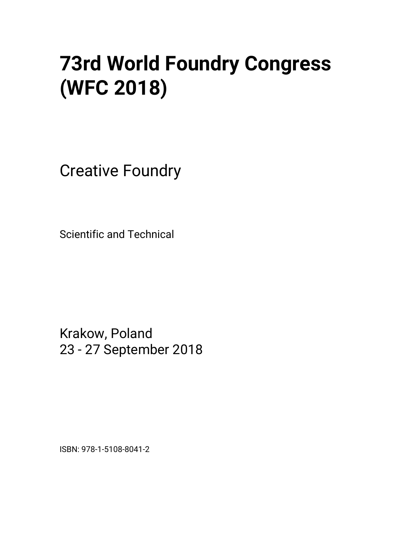# **73rd World Foundry Congress (WFC 2018)**

Creative Foundry

Scientific and Technical

Krakow, Poland 23 - 27 September 2018

ISBN: 978-1-5108-8041-2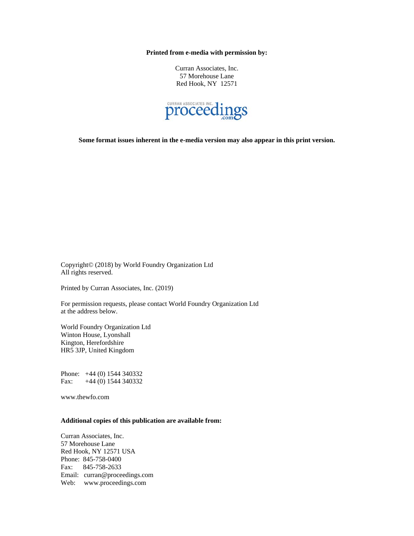**Printed from e-media with permission by:** 

Curran Associates, Inc. 57 Morehouse Lane Red Hook, NY 12571



**Some format issues inherent in the e-media version may also appear in this print version.** 

Copyright© (2018) by World Foundry Organization Ltd All rights reserved.

Printed by Curran Associates, Inc. (2019)

For permission requests, please contact World Foundry Organization Ltd at the address below.

World Foundry Organization Ltd Winton House, Lyonshall Kington, Herefordshire HR5 3JP, United Kingdom

Phone: +44 (0) 1544 340332 Fax: +44 (0) 1544 340332

www.thewfo.com

#### **Additional copies of this publication are available from:**

Curran Associates, Inc. 57 Morehouse Lane Red Hook, NY 12571 USA Phone: 845-758-0400 Fax: 845-758-2633 Email: curran@proceedings.com Web: www.proceedings.com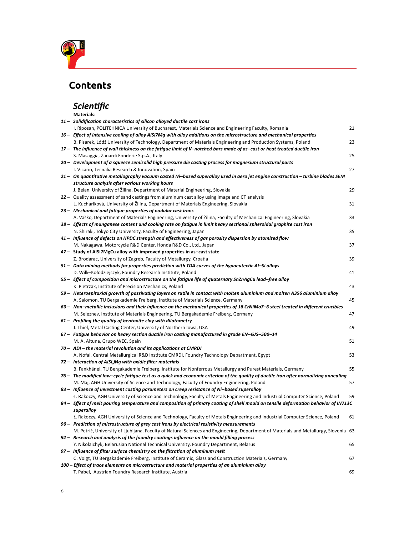

## **Contents**

## *Scientific*

| <b>Materials:</b>                                                                                                                     |    |
|---------------------------------------------------------------------------------------------------------------------------------------|----|
| 11 - Solidification characteristics of silicon alloyed ductile cast irons                                                             |    |
| I. Riposan, POLITEHNICA University of Bucharest, Materials Science and Engineering Faculty, Romania                                   | 21 |
| 16 - Effect of intensive cooling of alloy AlSi7Mg with alloy additions on the microstructure and mechanical properties                |    |
| B. Pisarek, Lódź University of Technology, Department of Materials Engineering and Production Systems, Poland                         | 23 |
| 17 – The influence of wall thickness on the fatigue limit of V-notched bars made of as-cast or heat treated ductile iron              |    |
| S. Masaggia, Zanardi Fonderie S.p.A., Italy                                                                                           | 25 |
| 20 - Development of a squeeze semisolid high pressure die casting process for magnesium structural parts                              |    |
| I. Vicario, Tecnalia Research & Innovation, Spain                                                                                     | 27 |
| 21 - On quantitative metallography vacuum casted Ni-based superalloy used in aero jet engine construction - turbine blades SEM        |    |
| structure analysis after various working hours                                                                                        |    |
| J. Belan, University of Žilina, Department of Material Engineering, Slovakia                                                          | 29 |
| 22 – Quality assessment of sand castings from aluminum cast alloy using image and CT analysis                                         |    |
| L. Kuchariková, University of Žilina, Department of Materials Engineering, Slovakia                                                   | 31 |
| 23 - Mechanical and fatigue properties of nodular cast irons                                                                          |    |
| A. Vaško, Department of Materials Engineering, University of Žilina, Faculty of Mechanical Engineering, Slovakia                      | 33 |
| 38 - Effects of manganese content and cooling rate on fatigue in limit heavy sectional spheroidal graphite cast iron                  |    |
| N. Shiraki, Tokyo City University, Faculty of Engineering, Japan                                                                      | 35 |
| 41 - Influence of defects on HPDC strength and effectiveness of gas porosity dispersion by atomized flow                              |    |
| M. Nakagawa, Motorcycle R&D Center, Honda R&D Co., Ltd., Japan                                                                        | 37 |
| 47 - Study of AlSi7MgCu alloy with improved properties in as-cast state                                                               |    |
| Z. Brodarac, University of Zagreb, Faculty of Metallurgy, Croatia                                                                     | 39 |
| 51 - Data mining methods for properties prediction with TDA curves of the hypoeutectic Al-Si alloys                                   |    |
| D. Wilk-Kołodziejczyk, Foundry Research Institute, Poland                                                                             | 41 |
| 55 - Effect of composition and microstructure on the fatigue life of quaternary SnZnAgCu lead-free alloy                              |    |
| K. Pietrzak, Institute of Precision Mechanics, Poland                                                                                 | 43 |
| 59 - Heteroepitaxial growth of passivating layers on rutile in contact with molten aluminium and molten A356 aluminium alloy          |    |
| A. Salomon, TU Bergakademie Freiberg, Institute of Materials Science, Germany                                                         | 45 |
| 60 - Non-metallic inclusions and their influence on the mechanical properties of 18 CrNiMo7-6 steel treated in different crucibles    |    |
| M. Seleznev, Institute of Materials Engineering, TU Bergakademie Freiberg, Germany                                                    | 47 |
| 61 - Profiling the quality of bentonite clay with dilatometry                                                                         |    |
| J. Thiel, Metal Casting Center, University of Northern Iowa, USA                                                                      | 49 |
| 67 - Fatigue behavior on heavy section ductile iron casting manufactured in grade EN-GJS-500-14                                       |    |
| M. A. Altuna, Grupo WEC, Spain                                                                                                        | 51 |
| 70 - ADI - the material revolution and its applications at CMRDI                                                                      |    |
| A. Nofal, Central Metallurgical R&D Institute CMRDI, Foundry Technology Department, Egypt                                             | 53 |
| 72 - Interaction of AlSi <sub>-</sub> Mg with oxidic filter materials                                                                 |    |
| B. Fankhänel, TU Bergakademie Freiberg, Institute for Nonferrous Metallurgy and Purest Materials, Germany                             | 55 |
| 76 - The modified low-cycle fatigue test as a quick and economic criterion of the quality of ductile iron after normalizing annealing |    |
| M. Maj, AGH University of Science and Technology, Faculty of Foundry Engineering, Poland                                              | 57 |
| 83 - Influence of investment casting parameters on creep resistance of Ni-based superalloy                                            |    |
| Ł. Rakoczy, AGH University of Science and Technology, Faculty of Metals Engineering and Industrial Computer Science, Poland           | 59 |
| 84 - Effect of melt pouring temperature and composition of primary coating of shell mould on tensile deformation behavior of IN713C   |    |
| superalloy                                                                                                                            |    |
| Ł. Rakoczy, AGH University of Science and Technology, Faculty of Metals Engineering and Industrial Computer Science, Poland           | 61 |
| 90 - Prediction of microstructure of grey cast irons by electrical resistivity measurements                                           |    |
| M. Petrič, University of Ljubljana, Faculty of Natural Sciences and Engineering, Department of Materials and Metallurgy, Slovenia 63  |    |
| 92 - Research and analysis of the foundry coatings influence on the mould filling process                                             |    |
| Y. Nikolaichyk, Belarusian National Technical University, Foundry Department, Belarus                                                 | 65 |
| 97 - Influence of filter surface chemistry on the filtration of aluminum melt                                                         |    |
| C. Voigt, TU Bergakademie Freiberg, Institute of Ceramic, Glass and Construction Materials, Germany                                   | 67 |
| 100 – Effect of trace elements on microstructure and material properties of an aluminium alloy                                        |    |
| T. Pabel, Austrian Foundry Research Institute, Austria                                                                                | 69 |
|                                                                                                                                       |    |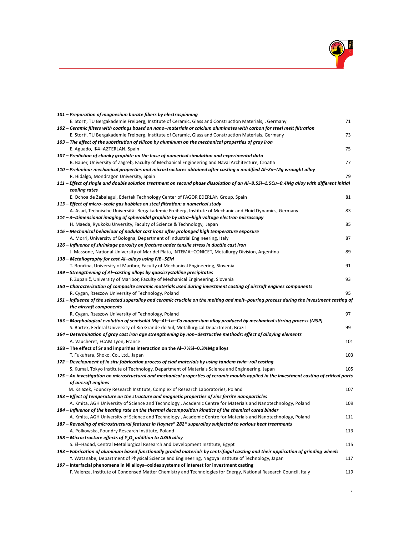

| 101 - Preparation of magnesium borate fibers by electrospinning                                                                           |     |
|-------------------------------------------------------------------------------------------------------------------------------------------|-----|
| E. Storti, TU Bergakademie Freiberg, Institute of Ceramic, Glass and Construction Materials, , Germany                                    | 71  |
| 102 – Ceramic filters with coatings based on nano–materials or calcium aluminates with carbon for steel melt filtration                   |     |
| E. Storti, TU Bergakademie Freiberg, Institute of Ceramic, Glass and Construction Materials, Germany                                      | 73  |
| 103 – The effect of the substitution of silicon by aluminum on the mechanical properties of gray iron                                     |     |
| E. Aguado, IK4-AZTERLAN, Spain                                                                                                            | 75  |
| 107 – Prediction of chunky graphite on the base of numerical simulation and experimental data                                             |     |
| B. Bauer, University of Zagreb, Faculty of Mechanical Engineering and Naval Architecture, Croatia                                         | 77  |
| 110 – Preliminar mechanical properties and microstructures obtained after casting a modified Al–Zn–Mg wrought alloy                       |     |
| R. Hidalgo, Mondragon University, Spain                                                                                                   | 79  |
| 111 – Effect of single and double solution treatment on second phase dissolution of an Al–8.5Si–1.5Cu–0.4Mg alloy with different initial  |     |
| cooling rates                                                                                                                             |     |
| E. Ochoa de Zabalegui, Edertek Technology Center of FAGOR EDERLAN Group, Spain                                                            | 81  |
| 113 – Effect of micro–scale gas bubbles on steel filtration: a numerical study                                                            |     |
| A. Asad, Technische Universität Bergakademie Freiberg, Institute of Mechanic and Fluid Dynamics, Germany                                  | 83  |
| 114 – 3–Dimensional imaging of spheroidal graphite by ultra–high voltage electron microscopy                                              |     |
| H. Maeda, Ryukoku Unversity, Faculty of Science & Technology, Japan                                                                       | 85  |
| 116 – Mechanical behaviour of nodular cast irons after prolonged high temperature exposure                                                |     |
| A. Morri, University of Bologna, Department of Industrial Engineering, Italy                                                              | 87  |
| 126 – Influence of shrinkage porosity on fracture under tensile stress in ductile cast iron                                               |     |
| J. Massone, National University of Mar del Plata, INTEMA-CONICET, Metallurgy Division, Argentina                                          | 89  |
| 138 – Metallography for cast Al–alloys using FIB–SEM                                                                                      |     |
| T. Bončina, University of Maribor, Faculty of Mechanical Engineering, Slovenia                                                            | 91  |
| 139 - Strengthening of Al-casting alloys by quasicrystalline precipitates                                                                 |     |
| F. Zupanič, University of Maribor, Faculty of Mechanical Engineering, Slovenia                                                            | 93  |
| 150 – Characterization of composite ceramic materials used during investment casting of aircraft engines components                       |     |
| R. Cygan, Rzeszow University of Technology, Poland                                                                                        | 95  |
| 151 – Influence of the selected superalloy and ceramic crucible on the melting and melt–pouring process during the investment casting of  |     |
| the aircraft components                                                                                                                   |     |
| R. Cygan, Rzeszow University of Technology, Poland                                                                                        | 97  |
| 163 – Morphological evolution of semisolid Mg–Al–La–Ca magnesium alloy produced by mechanical stirring process (MSP)                      |     |
| S. Bartex, Federal University of Rio Grande do Sul, Metallurgical Department, Brazil                                                      | 99  |
| 164 – Determination of gray cast iron age strengthening by non–destructive methods: effect of alloying elements                           |     |
| A. Vaucheret, ECAM Lyon, France                                                                                                           | 101 |
| 168 – The effect of Sr and impurities interaction on the Al-7%Si-0.3%Mg alloys                                                            |     |
| T. Fukuhara, Shoko. Co., Ltd., Japan                                                                                                      | 103 |
| 172 – Development of in situ fabrication process of clad materials by using tandem twin–roll casting                                      |     |
| S. Kumai, Tokyo Institute of Technology, Department of Materials Science and Engineering, Japan                                           | 105 |
| 175 – An investigation on microstructural and mechanical properties of ceramic moulds applied in the investment casting of critical parts |     |
| of aircraft engines                                                                                                                       |     |
| M. Ksiazek, Foundry Research Institute, Complex of Research Laboratories, Poland                                                          | 107 |
| 183 – Effect of temperature on the structure and magnetic properties of zinc ferrite nanoparticles                                        |     |
| A. Kmita, AGH University of Science and Technology, Academic Centre for Materials and Nanotechnology, Poland                              | 109 |
| 184 – Influence of the heating rate on the thermal decomposition kinetics of the chemical cured binder                                    |     |
| A. Kmita, AGH University of Science and Technology, Academic Centre for Materials and Nanotechnology, Poland                              | 111 |
| 187 – Revealing of microstructural features in Haynes® 282® superalloy subjected to various heat treatments                               |     |
| A. Polkowska, Foundry Research Institute, Poland                                                                                          | 113 |
| 188 – Microstructure effects of Y <sub>2</sub> O <sub>3</sub> addition to A356 alloy                                                      |     |
| S. El-Hadad, Central Metallurgical Research and Development Institute, Egypt                                                              | 115 |
| 193 – Fabrication of aluminum based functionally graded materials by centrifugal casting and their application of grinding wheels         |     |
| Y. Watanabe, Department of Physical Science and Engineering, Nagoya Institute of Technology, Japan                                        | 117 |
| 197 – Interfacial phenomena in Ni alloys-oxides systems of interest for investment casting                                                |     |
| F. Valenza, Institute of Condensed Matter Chemistry and Technologies for Energy, National Research Council, Italy                         | 119 |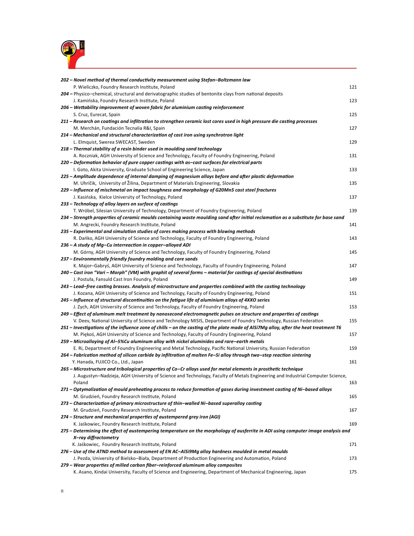

| 202 - Novel method of thermal conductivity measurement using Stefan-Boltzmann law                                                                                                       |     |
|-----------------------------------------------------------------------------------------------------------------------------------------------------------------------------------------|-----|
| P. Wieliczko, Foundry Research Institute, Poland                                                                                                                                        | 121 |
| 204 – Physico–chemical, structural and derivatographic studies of bentonite clays from national deposits                                                                                |     |
| J. Kamińska, Foundry Research Institute, Poland                                                                                                                                         | 123 |
| 206 – Wettability improvement of woven fabric for aluminium casting reinforcement                                                                                                       |     |
| S. Cruz, Eurecat, Spain                                                                                                                                                                 | 125 |
| 211 – Research on coatings and infiltration to strengthen ceramic lost cores used in high pressure die casting processes                                                                |     |
| M. Merchán, Fundación Tecnalia R&I, Spain                                                                                                                                               | 127 |
| 214 - Mechanical and structural characterization of cast iron using synchrotron light                                                                                                   |     |
| L. Elmquist, Swerea SWECAST, Sweden                                                                                                                                                     | 129 |
| 218 - Thermal stability of a resin binder used in moulding sand technology                                                                                                              |     |
| A. Roczniak, AGH University of Science and Technology, Faculty of Foundry Engineering, Poland                                                                                           | 131 |
| 220 – Deformation behavior of pure copper castings with as-cast surfaces for electrical parts                                                                                           |     |
| I. Goto, Akita University, Graduate School of Engineering Science, Japan                                                                                                                | 133 |
| 225 - Amplitude dependence of internal damping of magnesium alloys before and after plastic deformation                                                                                 |     |
| M. Uhríčik, University of Žilina, Department of Materials Engineering, Slovakia                                                                                                         | 135 |
| 229 – Influence of mischmetal on impact toughness and morphology of G20Mn5 cast steel fractures                                                                                         |     |
| J. Kasińska, Kielce University of Technology, Poland                                                                                                                                    | 137 |
| 233 - Technology of alloy layers on surface of castings                                                                                                                                 |     |
| T. Wróbel, Silesian University of Technology, Department of Foundry Engineering, Poland                                                                                                 | 139 |
| 234 – Strength properties of ceramic moulds containing waste moulding sand after initial reclamation as a substitute for base sand                                                      |     |
| M. Angrecki, Foundry Research Institute, Poland                                                                                                                                         | 141 |
| 235 – Experimental and simulation studies of cores making process with blowing methods                                                                                                  |     |
| R. Dańko, AGH University of Science and Technology, Faculty of Foundry Engineering, Poland                                                                                              | 143 |
| 236 - A study of Mg-Cu interreaction in copper-alloyed ADI                                                                                                                              |     |
| M. Górny, AGH University of Science and Technology, Faculty of Foundry Engineering, Poland                                                                                              | 145 |
| 237 – Environmentally friendly foundry molding and core sands                                                                                                                           |     |
| K. Major-Gabryś, AGH University of Science and Technology, Faculty of Foundry Engineering, Poland                                                                                       | 147 |
| 240 – Cast iron "Vari – Morph" (VM) with graphit of several forms – material for castings of special destinations                                                                       |     |
| J. Postuła, Fansuld Cast Iron Foundry, Poland<br>243 – Lead-free casting brasses. Analysis of microstructure and properties combined with the casting technology                        | 149 |
| J. Kozana, AGH University of Science and Technology, Faculty of Foundry Engineering, Poland                                                                                             | 151 |
| 245 – Influence of structural discontinuities on the fatigue life of aluminium alloys of 4XXO series                                                                                    |     |
| J. Zych, AGH University of Science and Technology, Faculty of Foundry Engineering, Poland                                                                                               | 153 |
| 249 - Effect of aluminum melt treatment by nanosecond electromagnetic pulses on structure and properties of castings                                                                    |     |
| V. Deev, National University of Science and Technology MISIS, Department of Foundry Technology, Russian Federation                                                                      | 155 |
| 251 – Investigations of the influence zone of chills – on the casting of the plate made of AlSi7Mg alloy, after the heat treatment T6                                                   |     |
| M. Piękoś, AGH University of Science and Technology, Faculty of Foundry Engineering, Poland                                                                                             | 157 |
| 259 – Microalloying of Al-5%Cu aluminum alloy with nickel aluminides and rare-earth metals                                                                                              |     |
| E. Ri, Department of Foundry Engineering and Metal Technology, Pacific National University, Russian Federation                                                                          | 159 |
| 264 – Fabrication method of silicon carbide by infiltration of molten Fe-Si alloy through two-step reaction sintering                                                                   |     |
| Y. Hanada, FUJICO Co., Ltd., Japan                                                                                                                                                      | 161 |
| 265 – Microstructure and tribological properties of Co–Cr alloys used for metal elements in prosthetic technique                                                                        |     |
| J. Augustyn-Nadzieja, AGH University of Science and Technology, Faculty of Metals Engineering and Industrial Computer Science,                                                          |     |
| Poland                                                                                                                                                                                  | 163 |
| 271 - Optymalization of mould preheating process to reduce formation of gases during investment casting of Ni-based alloys                                                              |     |
| M. Grudzień, Foundry Research Institute, Poland                                                                                                                                         | 165 |
| 273 – Characterization of primary microstructure of thin-walled Ni-based superalloy casting                                                                                             |     |
| M. Grudzień, Foundry Research Institute, Poland                                                                                                                                         | 167 |
| 274 – Structure and mechanical properties of austempered grey iron (AGI)                                                                                                                |     |
| K. Jaśkowiec, Foundry Research Institute, Poland                                                                                                                                        | 169 |
| 275 – Determining the effect of austempering temperature on the morphology of ausferrite in ADI using computer image analysis and                                                       |     |
| X-ray diffractometry                                                                                                                                                                    |     |
| K. Jaśkowiec, Foundry Research Institute, Poland                                                                                                                                        | 171 |
| 276 – Use of the ATND method to assessment of EN AC-AlSi9Mg alloy hardness moulded in metal moulds                                                                                      |     |
| J. Pezda, University of Bielsko-Biała, Department of Production Engineering and Automation, Poland<br>279 - Wear properties of milled carbon fiber-reinforced aluminum alloy composites | 173 |
| K. Asano, Kindai University, Faculty of Science and Engineering, Department of Mechanical Engineering, Japan                                                                            | 175 |
|                                                                                                                                                                                         |     |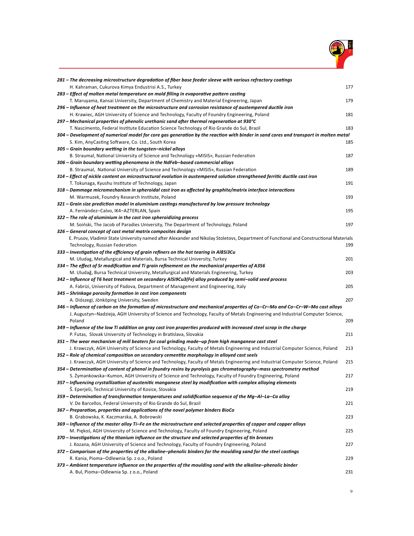

| 281 – The decreasing microstructure degradation of fiber base feeder sleeve with various refractory coatings                                                                                                               |     |
|----------------------------------------------------------------------------------------------------------------------------------------------------------------------------------------------------------------------------|-----|
| H. Kahraman, Cukurova Kimya Endustrisi A.S., Turkey                                                                                                                                                                        | 177 |
| 283 – Effect of molten metal temperature on mold filling in evaporative pattern casting                                                                                                                                    |     |
| T. Maruyama, Kansai University, Department of Chemistry and Material Engineering, Japan                                                                                                                                    | 179 |
| 296 – Influence of heat treatment on the microstructure and corrosion resistance of austempered ductile iron                                                                                                               |     |
| H. Krawiec, AGH University of Science and Technology, Faculty of Foundry Engineering, Poland                                                                                                                               | 181 |
| 297 – Mechanical properties of phenolic urethanic sand after thermal regeneration at 930°C                                                                                                                                 |     |
| T. Nascimento, Federal Institute Education Science Technology of Rio Grande do Sul, Brazil                                                                                                                                 | 183 |
| 304 – Development of numerical model for core gas generation by the reaction with binder in sand cores and transport in molten metal                                                                                       |     |
| S. Kim, AnyCasting Software, Co. Ltd., South Korea                                                                                                                                                                         | 185 |
| 305 - Grain boundary wetting in the tungsten-nickel alloys                                                                                                                                                                 |     |
| B. Straumal, National University of Science and Technology «MISIS», Russian Federation                                                                                                                                     | 187 |
| 306 – Grain boundary wetting phenomena in the NdFeb–based commercial alloys                                                                                                                                                |     |
| B. Straumal, National University of Science and Technology «MISIS», Russian Federation                                                                                                                                     | 189 |
| 314 – Effect of nickle content on microstructural evolution in austempered solution strengthened ferritic ductile cast iron                                                                                                |     |
| T. Tokunaga, Kyushu Institute of Technology, Japan                                                                                                                                                                         | 191 |
| 318 – Dammage micromechanism in spheroidal cast iron as affected by graphite/matrix interface interactions                                                                                                                 |     |
| M. Warmuzek, Foundry Research Institute, Poland                                                                                                                                                                            | 193 |
| 321 – Grain size prediction model in aluminium castings manufactured by low pressure technology                                                                                                                            |     |
| A. Fernàndez-Calvo, IK4-AZTERLAN, Spain                                                                                                                                                                                    | 195 |
| 322 - The role of aluminium in the cast iron spheroidizing process                                                                                                                                                         |     |
| M. Soiński, The Jacob of Paradies University, The Department of Technology, Poland                                                                                                                                         | 197 |
| 326 – General concept of cast metal matrix composites design                                                                                                                                                               |     |
| E. Prusov, Vladimir State University named after Alexander and Nikolay Stoletovs, Department of Functional and Constructional Materials                                                                                    |     |
| Technology, Russian Federation                                                                                                                                                                                             | 199 |
| 333 – Investigation of the efficiency of grain refiners on the hot tearing in Al8Si3Cu                                                                                                                                     |     |
| M. Uludag, Metallurgical and Materials, Bursa Technical University, Turkey                                                                                                                                                 | 201 |
| 334 – The effect of Sr modification and Ti grain refinement on the mechanical properties of A356                                                                                                                           |     |
| M. Uludağ, Bursa Technical University, Metallurgical and Materials Engineering, Turkey                                                                                                                                     | 203 |
| 342 - Influence of T6 heat treatment on secondary AlSi9Cu3(Fe) alloy produced by semi-solid seed process                                                                                                                   |     |
| A. Fabrizi, University of Padova, Department of Management and Engineering, Italy                                                                                                                                          | 205 |
| 345 - Shrinkage porosity formation in cast iron components                                                                                                                                                                 |     |
| A. Diószegi, Jönköping University, Sweden                                                                                                                                                                                  | 207 |
| 346 – Influence of carbon on the formation of microstructure and mechanical properties of Co–Cr–Mo and Co–Cr–W–Mo cast alloys                                                                                              |     |
| J. Augustyn-Nadzieja, AGH University of Science and Technology, Faculty of Metals Engineering and Industrial Computer Science,                                                                                             |     |
| Poland                                                                                                                                                                                                                     | 209 |
| 349 – Influence of the low Ti addition on gray cast iron properties produced with increased steel scrap in the charge                                                                                                      |     |
| P. Futas, Slovak University of Technology in Bratislava, Slovakia                                                                                                                                                          | 211 |
| 351 – The wear mechanism of mill beaters for coal grinding made–up from high manganese cast steel                                                                                                                          | 213 |
| J. Krawczyk, AGH University of Science and Technology, Faculty of Metals Engineering and Industrial Computer Science, Poland<br>352 – Role of chemical composition on secondary cementite morphology in alloyed cast seels |     |
| J. Krawczyk, AGH University of Science and Technology, Faculty of Metals Engineering and Industrial Computer Science, Poland                                                                                               | 215 |
| 354 – Determination of content of phenol in foundry resins by pyrolysis gas chromatography–mass spectrometry method                                                                                                        |     |
| S. Żymankowska–Kumon, AGH University of Science and Technology, Faculty of Foundry Engineering, Poland                                                                                                                     | 217 |
| 357 – Influencing crystallization of austenitic manganese steel by modification with complex alloying elements                                                                                                             |     |
| Š. Eperješi, Technical University of Kosice, Slovakia                                                                                                                                                                      | 219 |
| 359 – Determination of transformation temperatures and solidification sequence of the Mq–Al–La–Ca alloy                                                                                                                    |     |
| V. De Barcellos, Federal University of Rio Grande do Sul, Brazil                                                                                                                                                           | 221 |
| 367 – Preparation, properties and applications of the novel polymer binders BioCo                                                                                                                                          |     |
| B. Grabowska, K. Kaczmarska, A. Bobrowski                                                                                                                                                                                  | 223 |
| 369 – Influence of the master alloy Ti–Fe on the microstructure and selected properties of copper and copper alloys                                                                                                        |     |
| M. Piekoś, AGH University of Science and Technology, Faculty of Foundry Engineering, Poland                                                                                                                                | 225 |
| 370 – Investigations of the titanium influence on the structure and selected properties of tin bronzes                                                                                                                     |     |
| J. Kozana, AGH University of Science and Technology, Faculty of Foundry Engineering, Poland                                                                                                                                | 227 |
| 372 – Comparison of the properties of the alkaline–phenolic binders for the moulding sand for the steel castings                                                                                                           |     |
| R. Kania, Pioma-Odlewnia Sp. z o.o., Poland                                                                                                                                                                                | 229 |
| 373 – Ambient temperature influence on the properties of the moulding sand with the alkaline–phenolic binder                                                                                                               |     |
| A. Bul, Pioma-Odlewnia Sp. z o.o., Poland                                                                                                                                                                                  | 231 |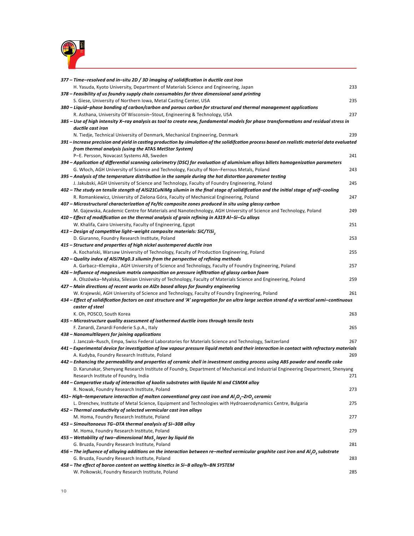

| $377$ – Time–resolved and in–situ 2D / 3D imaging of solidification in ductile cast iron                                                       |     |
|------------------------------------------------------------------------------------------------------------------------------------------------|-----|
| H. Yasuda, Kyoto University, Department of Materials Science and Engineering, Japan                                                            | 233 |
| 378 – Feasibility of us foundry supply chain consumables for three dimensional sand printing                                                   |     |
| S. Giese, University of Northern Iowa, Metal Casting Center, USA                                                                               | 235 |
| 380 – Liquid–phase bonding of carbon/carbon and porous carbon for structural and thermal management applications                               |     |
| R. Asthana, University Of Wisconsin-Stout, Engineering & Technology, USA                                                                       | 237 |
| 385 – Use of high intensity X–ray analysis as tool to create new, fundamental models for phase transformations and residual stress in          |     |
| ductile cast iron                                                                                                                              |     |
| N. Tiedje, Technical University of Denmark, Mechanical Engineering, Denmark                                                                    | 239 |
| 391 – Increase precision and yield in casting production by simulation of the solidifcation process based on realistic material data evaluated |     |
| from thermal analysis (using the ATAS MetStar System)                                                                                          |     |
| P-E. Persson, Novacast Systems AB, Sweden                                                                                                      | 241 |
| 394 - Application of differential scanning calorimetry (DSC) for evaluation of aluminium alloys billets homogenization parameters              |     |
| G. Włoch, AGH University of Science and Technology, Faculty of Non-Ferrous Metals, Poland                                                      | 243 |
| 395 – Analysis of the temperature distribution in the sample during the hot distortion parameter testing                                       |     |
| J. Jakubski, AGH University of Science and Technology, Faculty of Foundry Engineering, Poland                                                  | 245 |
| 402 – The study on tensile stength of AlSi21CuNiMg silumin in the final stage of solidification and the initial stage of self–cooling          |     |
| R. Romankiewicz, University of Zielona Góra, Faculty of Mechanical Engineering, Poland                                                         | 247 |
| 407 - Microstructural characterization of Fe/tic composite zones produced in situ using glassy carbon                                          |     |
| M. Gajewska, Academic Centre for Materials and Nanotechnology, AGH University of Science and Technology, Poland                                | 249 |
| 410 - Effect of modification on the thermal analysis of grain refining in A319 Al-Si-Cu alloys                                                 |     |
| W. Khalifa, Cairo University, Faculty of Engineering, Egypt                                                                                    | 251 |
| 413 – Design of competitive light–weight composite materials: SiC/TiSi,                                                                        |     |
| D. Giuranno, Foundry Research Institute, Poland                                                                                                | 253 |
| 415 – Structure and properties of high nickel austempered ductile iron                                                                         |     |
| A. Kochański, Warsaw University of Technology, Faculty of Production Engineering, Poland                                                       | 255 |
| 420 – Quality index of AlSi7Mg0.3 silumin from the perspective of refining methods                                                             |     |
| A. Garbacz-Klempka, AGH University of Science and Technology, Faculty of Foundry Engineering, Poland                                           | 257 |
| 426 – Influence of magnesium matrix composition on pressure infiltration of glassy carbon foam                                                 |     |
| A. Olszówka–Myalska, Silesian University of Technology, Faculty of Materials Science and Engineering, Poland                                   | 259 |
| 427 – Main directions of recent works on AIZn based alloys for foundry engineering                                                             |     |
| W. Krajewski, AGH University of Science and Technology, Faculty of Foundry Engineering, Poland                                                 | 261 |
| 434 – Effect of solidification factors on cast structure and 'A' segregation for an ultra large section strand of a vertical semi–continuous   |     |
| caster of steel                                                                                                                                |     |
| K. Oh, POSCO, South Korea                                                                                                                      | 263 |
| 435 – Microstructure quality assessment of isothermed ductile irons through tensile tests                                                      |     |
| F. Zanardi, Zanardi Fonderie S.p.A., Italy                                                                                                     | 265 |
| 438 - Nanomultilayers for joining applications                                                                                                 |     |
| J. Janczak–Rusch, Empa, Swiss Federal Laboratories for Materials Science and Technology, Switzerland                                           | 267 |
| 441 - Experimental device for investigation of low vapour pressure liquid metals and their interaction in contact with refractory materials    |     |
| A. Kudyba, Foundry Research Institute, Poland                                                                                                  | 269 |
| 442 – Enhancing the permeability and properties of ceramic shell in investment casting process using ABS powder and needle coke                |     |
| D. Karunakar, Shenyang Research Institute of Foundry, Department of Mechanical and Industrial Engineering Department, Shenyang                 |     |
| Research Institute of Foundry, India                                                                                                           | 271 |
| 444 - Comperative study of interaction of kaolin substrates with liquide Ni and CSMX4 alloy                                                    |     |
| R. Nowak, Foundry Research Institute, Poland                                                                                                   | 273 |
| 451–High-temperature interaction of molten conventional grey cast iron and AI,O <sub>3</sub> -ZrO, ceramic                                     |     |
| L. Drenchev, Institute of Metal Science, Equipment and Technologies with Hydroaerodynamics Centre, Bulgaria                                    | 275 |
| 452 - Thermal conductivity of selected vermicular cast iron alloys                                                                             |     |
| M. Homa, Foundry Research Institute, Poland                                                                                                    | 277 |
| 453 – Simoultanoeus TG–DTA thermal analysis of Si–30B alloy                                                                                    |     |
| M. Homa, Foundry Research Institute, Poland                                                                                                    | 279 |
| 455 – Wettability of two-dimensional MoS <sub>2</sub> layer by liquid tin                                                                      |     |
| G. Bruzda, Foundry Research Institute, Poland                                                                                                  | 281 |
| 456 – The influence of alloying additions on the interaction between re-melted vermicular graphite cast iron and Al,O <sub>3</sub> substrate   |     |
| G. Bruzda, Foundry Research Institute, Poland                                                                                                  | 283 |
| 458 - The effect of boron content on wetting kinetics in Si-B alloy/h-BN SYSTEM                                                                |     |
| W. Polkowski, Foundry Research Institute, Poland                                                                                               | 285 |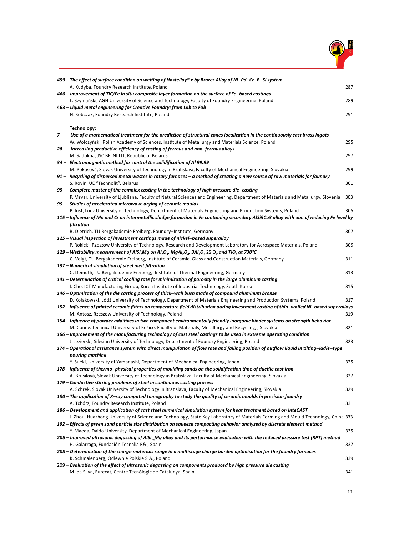

|       | 459 – The effect of surface condition on wetting of Hastelloy® x by Brazer Alloy of Ni–Pd–Cr–B–Si system                                                                                                                                |     |
|-------|-----------------------------------------------------------------------------------------------------------------------------------------------------------------------------------------------------------------------------------------|-----|
|       | A. Kudyba, Foundry Research Institute, Poland                                                                                                                                                                                           | 287 |
|       | 460 – Improvement of TiC/Fe in situ composite layer formation on the surface of Fe-based castings                                                                                                                                       |     |
|       | Ł. Szymański, AGH University of Science and Technology, Faculty of Foundry Engineering, Poland                                                                                                                                          | 289 |
|       | 463 – Liquid metal engineering for Creative Foundry: from Lab to Fab                                                                                                                                                                    |     |
|       | N. Sobczak, Foundry Research Institute, Poland                                                                                                                                                                                          | 291 |
|       |                                                                                                                                                                                                                                         |     |
|       | Technology:                                                                                                                                                                                                                             |     |
| $7 -$ | Use of a mathematical treatment for the prediction of structural zones localization in the continuously cast brass ingots                                                                                                               |     |
|       | W. Wołczyński, Polish Academy of Sciences, Institute of Metallurgy and Materials Science, Poland                                                                                                                                        | 295 |
|       | 28 - Increasing productive efficiency of casting of ferrous and non-ferrous alloys                                                                                                                                                      |     |
|       | M. Sadokha, JSC BELNIILIT, Republic of Belarus<br>34 - Electromagnetic method for control the solidification of Al 99.99                                                                                                                | 297 |
|       |                                                                                                                                                                                                                                         | 299 |
|       | M. Pokusová, Slovak University of Technology in Bratislava, Faculty of Mechanical Engineering, Slovakia<br>91 - Recycling of dispersed metal wastes in rotary furnaces - a method of creating a new source of raw materials for foundry |     |
|       | S. Rovin, UE "Technolit", Belarus                                                                                                                                                                                                       | 301 |
|       | 95 - Complete master of the complex casting in the technology of high pressure die-casting                                                                                                                                              |     |
|       | P. Mrvar, University of Ljubljana, Faculty of Natural Sciences and Engineering, Department of Materials and Metallurgy, Slovenia                                                                                                        | 303 |
|       | 99 - Studies of accelerated microwave drying of ceramic moulds                                                                                                                                                                          |     |
|       | P. Just, Lodz University of Technology, Department of Materials Engineering and Production Systems, Poland                                                                                                                              | 305 |
|       | 115 – Influence of Mn and Cr on intermetallic sludge formation in Fe containing secondary AlSi9Cu3 alloy with aim of reducing Fe level by                                                                                               |     |
|       | filtration                                                                                                                                                                                                                              |     |
|       | B. Dietrich, TU Bergakademie Freiberg, Foundry-Institute, Germany                                                                                                                                                                       | 307 |
|       | 125 – Visual inspection of investment castings made of nickel–based superalloy                                                                                                                                                          |     |
|       | P. Rokicki, Rzeszow University of Technology, Research and Development Laboratory for Aerospace Materials, Poland                                                                                                                       | 309 |
|       | 129 – Wettability measurement of AlSi <sub>7</sub> Mg on Al <sub>2</sub> O <sub>y</sub> , MgAl <sub>2</sub> O <sub>y</sub> , 3Al <sub>2</sub> O <sub>3</sub> .2SiO <sub>2</sub> and TiO <sub>2</sub> at 730°C                           |     |
|       | C. Voigt, TU Bergakademie Freiberg, Institute of Ceramic, Glass and Construction Materials, Germany                                                                                                                                     | 311 |
|       | 137 - Numerical simulation of steel melt filtration                                                                                                                                                                                     |     |
|       | C. Demuth, TU Bergakademie Freiberg, Institute of Thermal Engineering, Germany                                                                                                                                                          | 313 |
|       | 141 - Determination of critical cooling rate for minimization of porosity in the large aluminum casting                                                                                                                                 |     |
|       | I. Cho, ICT Manufacturing Group, Korea Institute of Industrial Technology, South Korea                                                                                                                                                  | 315 |
|       | 146 – Optimization of the die casting process of thick-wall bush made of compound aluminum bronze                                                                                                                                       |     |
|       | D. Kołakowski, Lódź University of Technology, Department of Materials Engineering and Production Systems, Poland                                                                                                                        | 317 |
|       | 152 – Influence of printed ceramic filters on temperature field distribution during investment casting of thin–walled Ni–based superalloys                                                                                              | 319 |
|       | M. Antosz, Rzeszow University of Technology, Poland<br>154 – Influence of powder additives in two component environmentally friendly inorganic binder systems on strength behavior                                                      |     |
|       | M. Conev, Technical University of Košice, Faculty of Materials, Metallurgy and Recycling, , Slovakia                                                                                                                                    | 321 |
|       | 166 – Improvement of the manufacturing technology of cast steel castings to be used in extreme operating condition                                                                                                                      |     |
|       | J. Jezierski, Silesian University of Technology, Department of Foundry Engineering, Poland                                                                                                                                              | 323 |
|       | 174 – Operational assistance system with direct manipulation of flow rate and falling position of outflow liquid in tilting–ladle–type                                                                                                  |     |
|       | pouring machine                                                                                                                                                                                                                         |     |
|       | Y. Sueki, University of Yamanashi, Department of Mechanical Engineering, Japan                                                                                                                                                          | 325 |
|       | 178 – Influence of thermo-physical properties of moulding sands on the solidification time of ductile cast iron                                                                                                                         |     |
|       | A. Brusilová, Slovak University of Technology in Bratislava, Faculty of Mechanical Engineering, Slovakia                                                                                                                                | 327 |
|       | 179 - Conductive stirring problems of steel in continuous casting process                                                                                                                                                               |     |
|       | A. Schrek, Slovak University of Technology in Bratislava, Faculty of Mechanical Engineering, Slovakia                                                                                                                                   | 329 |
|       | 180 – The application of X-ray computed tomography to study the quality of ceramic moulds in precision foundry                                                                                                                          |     |
|       | A. Tchórz, Foundry Research Institute, Poland                                                                                                                                                                                           | 331 |
|       | 186 – Development and application of cast steel numerical simulation system for heat treatment based on InteCAST                                                                                                                        |     |
|       | J. Zhou, Huazhong University of Science and Technology, State Key Laboratory of Materials Forming and Mould Technology, China 333                                                                                                       |     |
|       | 192 – Effects of green sand particle size distribution on squeeze compacting behavior analyzed by discrete element method                                                                                                               |     |
|       | Y. Maeda, Daido University, Department of Mechanical Engineering, Japan                                                                                                                                                                 | 335 |
|       | 205 – Improved ultrasonic degassing of AlSi <sub>10</sub> Mg alloy and its performance evaluation with the reduced pressure test (RPT) method                                                                                           |     |
|       | H. Galarraga, Fundación Tecnalia R&I, Spain<br>208 – Determination of the charge materials range in a multistage charge burden optimisation for the foundry furnaces                                                                    | 337 |
|       | K. Schmalenberg, Odlewnie Polskie S.A., Poland                                                                                                                                                                                          | 339 |
|       | 209 - Evaluation of the effect of ultrasonic degassing on components produced by high pressure die casting                                                                                                                              |     |
|       | M. da Silva, Eurecat, Centre Tecnólogic de Catalunya, Spain                                                                                                                                                                             | 341 |
|       |                                                                                                                                                                                                                                         |     |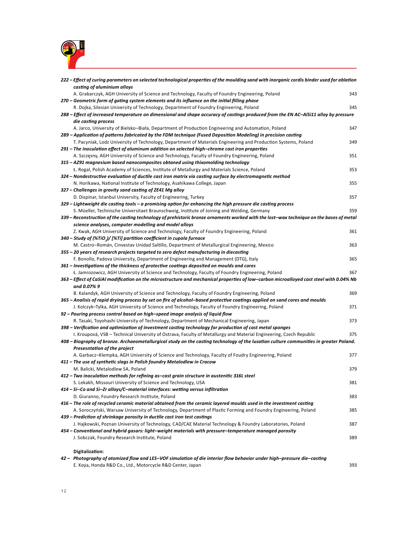

| 222 – Effect of curing parameters on selected technological properties of the moulding sand with inorganic cordis binder used for ablation<br>casting of aluminium alloys |     |
|---------------------------------------------------------------------------------------------------------------------------------------------------------------------------|-----|
| A. Grabarczyk, AGH University of Science and Technology, Faculty of Foundry Engineering, Poland                                                                           | 343 |
| 270 – Geometric form of gating system elements and its influence on the initial filling phase                                                                             |     |
| R. Dojka, Silesian University of Technology, Department of Foundry Engineering, Poland                                                                                    | 345 |
| 288 – Effect of increased temperature on dimensional and shape accuracy of castings produced from the EN AC-AISi11 alloy by pressure<br>die casting process               |     |
| A. Jarco, University of Bielsko-Biała, Department of Production Engineering and Automation, Poland                                                                        | 347 |
| 289 – Application of patterns fabricated by the FDM technique (Fused Deposition Modeling) in precision casting                                                            |     |
| T. Pacyniak, Lodz University of Technology, Department of Materials Engineering and Production Systems, Poland                                                            | 349 |
| 291 - The inoculation effect of aluminum addition on selected high-chrome cast iron properties                                                                            |     |
| A. Szczęsny, AGH University of Science and Technology, Faculty of Foundry Engineering, Poland                                                                             | 351 |
| 315 - AZ91 magnesium based nanocomposites obtaned using thixomolding technology                                                                                           |     |
| Ł. Rogal, Polish Academy of Sciences, Institute of Metallurgy and Materials Science, Poland                                                                               | 353 |
| 324 – Nondestructive evaluation of ductile cast iron matrix via casting surface by electromagnetic method                                                                 |     |
| N. Horikawa, National Institute of Technology, Asahikawa College, Japan                                                                                                   | 355 |
| 327 - Challenges in gravity sand casting of ZE41 Mg alloy                                                                                                                 |     |
| D. Dispinar, Istanbul University, Faculty of Engineering, Turkey                                                                                                          | 357 |
| 329 – Lightweight die casting tools – a promising option for enhancing the high pressure die casting process                                                              |     |
| S. Müeller, Technische Universitaet Braunschweig, Institute of Joining and Welding, Germany                                                                               | 359 |
| 339 – Reconstruction of the casting technology of prehistoric bronze ornaments worked with the lost–wax technique on the bases of metal                                   |     |
| science analyses, computer modelling and model alloys                                                                                                                     |     |
| Z. Kwak, AGH University of Science and Technology, Faculty of Foundry Engineering, Poland                                                                                 | 361 |
| 340 - Study of (%TiO,)/ [%Ti] partition coefficient in cupola furnace                                                                                                     |     |
| M. Castro-Román, Cinvestav Unidad Saltillo, Department of Metallurgical Engineering, Mexico                                                                               | 363 |
| 355 - 20 years of research projects targeted to zero defect manufacturing in diecasting                                                                                   |     |
| F. Bonollo, Padova University, Department of Engineering and Management (DTG), Italy                                                                                      | 365 |
| 361 - Investigations of the thickness of protective coatings deposited on moulds and cores                                                                                |     |
|                                                                                                                                                                           | 367 |
| Ł. Jamrozowicz, AGH University of Science and Technology, Faculty of Foundry Engineering, Poland                                                                          |     |
| 363 - Effect of CaSiAI modification on the microstructure and mechanical properties of low-carbon microalloyed cast steel with 0.04% Nb<br>and 0.07% 9                    |     |
| B. Kalandyk, AGH University of Science and Technology, Faculty of Foundry Engineering, Poland                                                                             | 369 |
| 365 – Analisis of rapid drying process by set on fire of alcohol–based protective coatings applied on sand cores and moulds                                               |     |
| J. Kolczyk–Tylka, AGH University of Science and Technology, Faculty of Foundry Engineering, Poland                                                                        | 371 |
| 92 – Pouring process control based on high–speed image analysis of liquid flow                                                                                            |     |
| R. Tasaki, Toyohashi University of Technology, Department of Mechanical Engineering, Japan                                                                                | 373 |
| 398 – Verification and optimization of investment casting technology for production of cast metal sponges                                                                 |     |
| I. Kroupová, VSB – Technical University of Ostrava, Faculty of Metallurgy and Material Engineering, Czech Republic                                                        | 375 |
| 408 – Biography of bronze. Archaeometallurgical study on the casting technology of the lusatian culture communities in greater Poland.<br>Presesntation of the project    |     |
| A. Garbacz–Klempka, AGH University of Science and Technology, Faculty of Foudry Engineering, Poland                                                                       | 377 |
| 411 - The use of synthetic slags in Polish foundry Metalodlew in Cracow                                                                                                   |     |
| M. Balicki, Metalodlew SA, Poland                                                                                                                                         | 379 |
| 412 – Two inoculation methods for refining as–cast grain structure in austenitic 316L steel                                                                               |     |
| S. Lekakh, Missouri University of Science and Technology, USA                                                                                                             | 381 |
| 414 – Si–Co and Si–Zr alloys/C–material interfaces: wetting versus infiltration                                                                                           |     |
| D. Giuranno, Foundry Research Institute, Poland                                                                                                                           | 383 |
| 416 - The role of recycled ceramic material obtained from the ceramic layered moulds used in the investment casting                                                       |     |
| A. Soroczyński, Warsaw University of Technology, Department of Plastic Forming and Foundry Engineering, Poland                                                            | 385 |
| 439 – Prediction of shrinkage porosity in ductile cast iron test castings                                                                                                 |     |
| J. Hajkowski, Poznan University of Technology, CAD/CAE Material Technology & Foundry Laboratories, Poland                                                                 | 387 |
| 454 – Conventional and hybrid gasars: light–weight materials with pressure–temperature managed porosity                                                                   |     |
| J. Sobczak, Foundry Research Institute, Poland                                                                                                                            | 389 |
|                                                                                                                                                                           |     |
| Digitalization:                                                                                                                                                           |     |
| 42 - Photography of atomized flow and LES-VOF simulation of die interior flow behavior under high-pressure die-casting                                                    |     |
| E. Koya, Honda R&D Co., Ltd., Motorcycle R&D Center, Japan                                                                                                                | 393 |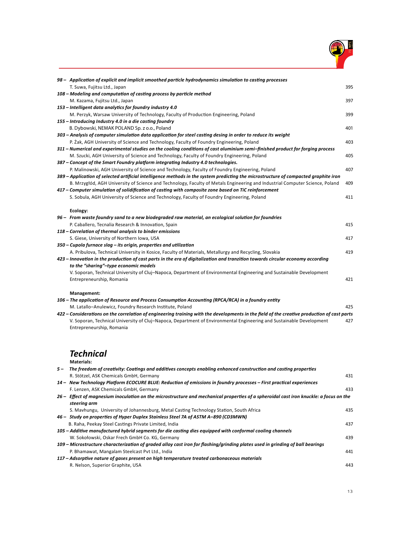

| 98 - Application of explicit and implicit smoothed particle hydrodynamics simulation to casting processes                                         |     |
|---------------------------------------------------------------------------------------------------------------------------------------------------|-----|
| T. Suwa, Fujitsu Ltd., Japan                                                                                                                      | 395 |
| 108 - Modeling and computation of casting process by particle method                                                                              |     |
| M. Kazama, Fujitsu Ltd., Japan                                                                                                                    | 397 |
| 153 - Intelligent data analytics for foundry industry 4.0                                                                                         |     |
| M. Perzyk, Warsaw University of Technology, Faculty of Production Engineering, Poland                                                             | 399 |
| 155 – Introducing Industry 4.0 in a die casting foundry                                                                                           |     |
| B. Dybowski, NEMAK POLAND Sp. z o.o., Poland                                                                                                      | 401 |
| 303 – Analysis of computer simulation data application for steel casting desing in order to reduce its weight                                     |     |
| P. Żak, AGH University of Science and Technology, Faculty of Foundry Engineering, Poland                                                          | 403 |
| 311 - Numerical and experimental studies on the cooling conditions of cast aluminium semi-finished product for forging process                    |     |
| M. Szucki, AGH University of Science and Technology, Faculty of Foundry Engineering, Poland                                                       | 405 |
| 387 - Concept of the Smart Foundry platform integrating Industry 4.0 technologies.                                                                |     |
| P. Malinowski, AGH University of Science and Technology, Faculty of Foundry Engineering, Poland                                                   | 407 |
| 389 – Application of selected artificial intelligence methods in the system predicting the microstructure of compacted graphite iron              |     |
| B. Mrzygłód, AGH University of Science and Technology, Faculty of Metals Engineering and Industrial Computer Science, Poland                      | 409 |
| 417 – Computer simulation of solidification of casting with composite zone based on TiC reinforcement                                             |     |
| S. Sobula, AGH University of Science and Technology, Faculty of Foundry Engineering, Poland                                                       | 411 |
|                                                                                                                                                   |     |
| Ecology:                                                                                                                                          |     |
| 96 - From waste foundry sand to a new biodegraded raw material, an ecological solution for foundries                                              |     |
| P. Caballero, Tecnalia Research & Innovation, Spain                                                                                               | 415 |
| 118 – Correlation of thermal analysis to binder emissions                                                                                         |     |
| S. Giese, University of Northern Iowa, USA                                                                                                        | 417 |
| 350 – Cupola furnace slag – its origin, properties and utilization                                                                                |     |
| A. Pribulova, Technical University in Kosice, Faculty of Materials, Metallurgy and Recycling, Slovakia                                            | 419 |
| 423 – Innovation in the production of cast parts in the era of digitalization and tranzition towards circular economy according                   |     |
| to the "sharing"-type economic models                                                                                                             |     |
| V. Soporan, Technical University of Cluj-Napoca, Department of Environmental Engineering and Sustainable Development                              |     |
| Entrepreneurship, Romania                                                                                                                         | 421 |
| Management:                                                                                                                                       |     |
| 106 – The application of Resource and Process Consumption Accounting (RPCA/RCA) in a foundry entity                                               |     |
| M. Latallo-Anulewicz, Foundry Research Institute, Poland                                                                                          | 425 |
| 422 – Considerations on the correlation of engineering training with the developments in the field of the creative production of cast parts       |     |
| V. Soporan, Technical University of Cluj-Napoca, Department of Environmental Engineering and Sustainable Development<br>Entrepreneurship, Romania | 427 |

### *Technical* **Materials:**

| $5-$ | The freedom of creativity: Coatings and additives concepts enabling enhanced construction and casting properties                       |     |
|------|----------------------------------------------------------------------------------------------------------------------------------------|-----|
|      | R. Stötzel, ASK Chemicals GmbH, Germany                                                                                                | 431 |
|      | 14 – New Technology Platform ECOCURE BLUE: Reduction of emissions in foundry processes – First practical experiences                   |     |
|      | F. Lenzen, ASK Chemicals GmbH, Germany                                                                                                 | 433 |
|      | 26 - Effect of magnesium inoculation on the microstructure and mechanical properties of a spheroidal cast iron knuckle: a focus on the |     |
|      | steering arm                                                                                                                           |     |
|      | S. Mayhungu, University of Johannesburg, Metal Casting Technology Station, South Africa                                                | 435 |
|      | 46 - Study on properties of Hyper Duplex Stainless Steel 7A of ASTM A-890 (CD3MWN)                                                     |     |
|      | B. Raha, Peekay Steel Castings Private Limited, India                                                                                  | 437 |
|      | 105 – Additive manufactured hybrid segments for die casting dies equipped with conformal cooling channels                              |     |
|      | W. Sokołowski, Oskar Frech GmbH Co. KG, Germany                                                                                        | 439 |
|      | 109 – Microstructure characterization of graded alloy cast iron for flashing/grinding plates used in grinding of ball bearings         |     |
|      | P. Bhamawat, Mangalam Steelcast Pvt Ltd., India                                                                                        | 441 |
|      | 117 – Adsorptive nature of gases present on high temperature treated carbonaceous materials                                            |     |
|      | R. Nelson, Superior Graphite, USA                                                                                                      | 443 |
|      |                                                                                                                                        |     |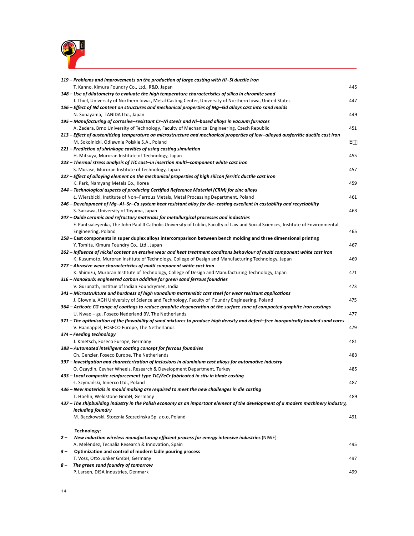

|      | 119 – Problems and improvements on the production of large casting with Hi-Si ductile iron                                         |     |
|------|------------------------------------------------------------------------------------------------------------------------------------|-----|
|      | T. Kanno, Kimura Foundry Co., Ltd., R&D, Japan                                                                                     | 445 |
|      | 148 – Use of dilatometry to evaluate the high temperature characteristics of silica in chromite sand                               |     |
|      | J. Thiel, University of Northern Iowa, Metal Casting Center, University of Northern Iowa, United States                            | 447 |
|      | 156 – Effect of Nd content on structures and mechanical properties of Mg–Gd alloys cast into sand molds                            |     |
|      | N. Sunayama, TANIDA Ltd., Japan                                                                                                    | 449 |
|      | 195 – Manufacturing of corrosive–resistant Cr–Ni steels and Ni–based alloys in vacuum furnaces                                     |     |
|      | A. Zadera, Brno University of Technology, Faculty of Mechanical Engineering, Czech Republic                                        | 451 |
|      | 213 – Effect of austenitizing temperature on microstructure and mechanical properties of low-alloyed ausferritic ductile cast iron |     |
|      | M. Sokolnicki, Odlewnie Polskie S.A., Poland                                                                                       | v · |
|      | 221 – Prediction of shrinkage cavities of using casting simulation                                                                 |     |
|      | H. Mitsuya, Muroran Institute of Technology, Japan                                                                                 | 455 |
|      | 223 - Thermal stress analysis of TiC cast-in insertion multi-component white cast iron                                             |     |
|      | S. Murase, Muroran Institute of Technology, Japan                                                                                  | 457 |
|      | 227 - Effect of alloying element on the mechanical properties of high silicon ferritic ductile cast iron                           |     |
|      | K. Park, Namyang Metals Co., Korea                                                                                                 | 459 |
|      | 244 – Technological aspects of producing Certified Reference Material (CRM) for zinc alloys                                        |     |
|      | Ł. Wierzbicki, Institute of Non-Ferrous Metals, Metal Processing Department, Poland                                                | 461 |
|      | 246 – Development of Mg–Al–Sr–Ca system heat resistant alloy for die–casting excellent in castability and recyclability            |     |
|      | S. Saikawa, University of Toyama, Japan                                                                                            | 463 |
|      | 247 – Oxide ceramic and refractory materials for metallurgical processes and industries                                            |     |
|      | F. Pantsialeyenka, The John Paul II Catholic University of Lublin, Faculty of Law and Social Sciences, Institute of Environmental  |     |
|      | Engineering, Poland                                                                                                                | 465 |
|      | 258 – Cast components in super duplex alloys intercomparison between bench molding and three dimensional printing                  |     |
|      | Y. Tomita, Kimura Foundry Co., Ltd., Japan                                                                                         | 467 |
|      | 262 - Influence of nickel content on erosive wear and heat treatment conditons behaviour of multi component white cast iron        |     |
|      | K. Kusumoto, Muroran Institute of Technology, College of Design and Manufacturing Technology, Japan                                | 469 |
|      | 277 - Abrasive wear characterictics of multi component white cast iron                                                             |     |
|      | K. Shimizu, Muroran Institute of Technology, College of Design and Manufacturing Technology, Japan                                 | 471 |
|      | 316 – Nanokarb: engineered carbon additive for green sand ferrous foundries                                                        | 473 |
|      | V. Gurunath, Institue of Indian Foundrymen, India                                                                                  |     |
|      | 341 – Microstrukture and hardness of high vanadium martensitic cast steel for wear resistant applications                          | 475 |
|      | J. Głownia, AGH University of Science and Technology, Faculty of Foundry Engineering, Poland                                       |     |
|      | 364 – Acticote CG range of coatings to reduce graphite degeneration at the surface zone of compacted graphite iron castings        |     |
|      | U. Nwao – gu, Foseco Nederland BV, The Netherlands                                                                                 | 477 |
|      | 371 – The optimisation of the flowability of sand mixtures to produce high density and defect–free inorganically bonded sand cores | 479 |
|      | V. Haanappel, FOSECO Europe, The Netherlands                                                                                       |     |
|      | 374 - Feeding technology<br>J. Kmetsch, Foseco Europe, Germany                                                                     | 481 |
|      | 388 - Automated intelligent coating concept for ferrous foundries                                                                  |     |
|      | Ch. Genzler, Foseco Europe, The Netherlands                                                                                        | 483 |
|      | 397 – Investigation and characterization of inclusions in aluminium cast alloys for automotive industry                            |     |
|      | O. Ozaydin, Cevher Wheels, Research & Development Department, Turkey                                                               | 485 |
|      | 433 – Local composite reinforcement type TiC/FeCr fabricated in situ in blade casting                                              |     |
|      | Ł. Szymański, Innerco Ltd., Poland                                                                                                 | 487 |
|      | 436 - New materials in mould making are required to meet the new challenges in die casting                                         |     |
|      | T. Hoehn, Weldstone GmbH, Germany                                                                                                  | 489 |
|      | 437 - The shipbuilding industry in the Polish economy as an important element of the development of a modern machinery industry,   |     |
|      | including foundry                                                                                                                  |     |
|      | M. Bączkowski, Stocznia Szczecińska Sp. z o.o, Poland                                                                              | 491 |
|      |                                                                                                                                    |     |
|      | Technology:                                                                                                                        |     |
| $2-$ | New induction wireless manufacturing efficient process for energy intensive industries (NIWE)                                      |     |
|      | A. Meléndez, Tecnalia Research & Innovation, Spain                                                                                 | 495 |
| $3-$ | Optimization and control of modern ladle pouring process                                                                           |     |
|      | T. Voss, Otto Junker GmbH, Germany                                                                                                 | 497 |
| 8 —  | The green sand foundry of tomorrow                                                                                                 |     |
|      | P. Larsen, DISA Industries, Denmark                                                                                                | 499 |
|      |                                                                                                                                    |     |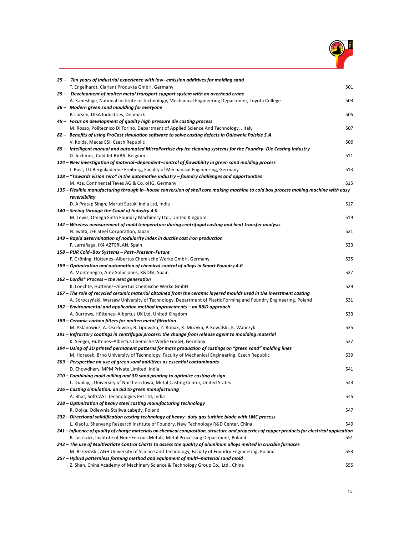

| 25 - Ten years of industrial experience with low-emission additives for molding sand                                                                                    |     |
|-------------------------------------------------------------------------------------------------------------------------------------------------------------------------|-----|
| T. Engelhardt, Clariant Produkte GmbH, Germany                                                                                                                          | 501 |
| 29 - Development of molten metal transport support system with an overhead crane                                                                                        |     |
| A. Kaneshige, National Institute of Technology, Mechanical Engineering Department, Toyota College                                                                       | 503 |
| 36 - Modern green sand moulding for everyone                                                                                                                            |     |
| P. Larsen, DISA Industries, Denmark                                                                                                                                     | 505 |
| 49 - Focus on development of quality high pressure die casting process                                                                                                  |     |
| M. Rosso, Politecnico Di Torino, Department of Applied Science And Technology, , Italy                                                                                  | 507 |
| 82 - Benefits of using ProCast simulation software to solve casting defects in Odlewnie Polskie S.A.                                                                    |     |
| V. Kolda, Mecas ESI, Czech Republic                                                                                                                                     | 509 |
| 85 - Intelligent manual and automated MicroParticle dry ice cleaning systems for the Foundry-Die Casting Industry                                                       |     |
| D. Juchmes, Cold Jet BVBA, Belgium                                                                                                                                      | 511 |
| 124 – New investigation of material–dependent–control of flowability in green sand molding process                                                                      |     |
| J. Bast, TU Bergakademie Freiberg, Faculty of Mechanical Engineering, Germany                                                                                           | 513 |
| 128 – "Towards vision zero" in the automotive industry – foundry challenges and opportunities                                                                           |     |
| M. Ata, Continental Teves AG & Co. oHG, Germany                                                                                                                         | 515 |
| 135 – Flexible manufacturing through in–house conversion of shell core making machine to cold box process making machine with easy                                      |     |
| reversibility                                                                                                                                                           |     |
| D. A Pratap Singh, Maruti Suzuki India Ltd, India                                                                                                                       | 517 |
| 140 - Seeing through the Cloud of Industry 4.0                                                                                                                          |     |
| M. Lewis, Omega Sinto Foundry Machinery Ltd., United Kingdom                                                                                                            | 519 |
| 142 – Wireless measurement of mold temperature during centrifugal casting and heat transfer analysis                                                                    |     |
| N. Iwata, JFE Steel Corporation, Japan                                                                                                                                  | 521 |
| 149 – Rapid determination of nodularity index in ductile cast iron production                                                                                           |     |
| P. Larrañaga, IK4 AZTERLAN, Spain                                                                                                                                       | 523 |
| 158 - PUR Cold-Box Systems - Past-Present-Future                                                                                                                        |     |
| P. Gröning, Hüttenes-Albertus Chemische Werke GmbH, Germany                                                                                                             | 525 |
| 159 – Optimization and automation of chemical control of alloys in Smart Foundry 4.0                                                                                    |     |
| A. Montenegro, Amv Soluciones, R&D&I, Spain                                                                                                                             | 527 |
| $162$ – Cordis <sup>®</sup> Process – the next generation                                                                                                               |     |
| K. Löechte, Hüttenes-Albertus Chemische Werke GmbH                                                                                                                      | 529 |
| 167 – The role of recycled ceramic material obtained from the ceramic layered moulds used in the investment casting                                                     |     |
| A. Soroczyński, Warsaw University of Technology, Department of Plastic Forming and Foundry Engineering, Poland                                                          | 531 |
| 182 – Environmental and application method improvements – an R&D approach                                                                                               |     |
| A. Burrows, Hüttenes-Albertus UK Ltd, United Kingdom                                                                                                                    | 533 |
| 189 – Ceramic-carbon filters for molten metal filtration                                                                                                                |     |
| M. Asłanowicz, A. Ościłowski, B. Lipowska, Z. Robak, R. Muzyka, P. Kowalski, K. Wańczyk                                                                                 | 535 |
| 191 – Refractory coatings in centrifugal process: the change from release agent to moulding material                                                                    |     |
| K. Seeger, Hüttenes-Albertus Chemiche Werke GmbH, Germany<br>194 – Using of 3D printed permanent patterns for mass production of castings on "green sand" molding lines | 537 |
| M. Horacek, Brno University of Technology, Faculty of Mechanical Engineering, Czech Republic                                                                            | 539 |
| 203 - Perspective on use of green sand additives as essential contaminants                                                                                              |     |
| D. Chowdhary, MPM Private Limited, India                                                                                                                                | 541 |
| 210 – Combining mold milling and 3D sand printing to optimize casting design                                                                                            |     |
| L. Dunlay, , University of Northern Iowa, Metal Casting Center, United States                                                                                           | 543 |
| 226 – Casting simulation: an aid to green manufacturing                                                                                                                 |     |
| A. Bhat, SoftCAST Technologies Pvt Ltd, India                                                                                                                           | 545 |
| 228 – Optimization of heavy steel casting manufacturing technology                                                                                                      |     |
| R. Dojka, Odlewnia Staliwa Łabędy, Poland                                                                                                                               | 547 |
| 232 - Directional solidification casting technology of heavy-duty gas turbine blade with LMC process                                                                    |     |
| L. Xiaofu, Shenyang Research Institute of Foundry, New Technology R&D Center, China                                                                                     | 549 |
| 241 – Influence of quality of charge materials on chemical composition, structure and properties of copper products for electrical application                          |     |
| B. Juszczyk, Institute of Non-Ferrous Metals, Metal Processing Department, Poland                                                                                       | 551 |
| 242 – The use of Multivariate Control Charts to assess the quality of aluminum alloys melted in crucible furnaces                                                       |     |
| M. Brzeziński, AGH University of Science and Technology, Faculty of Foundry Engineering, Poland                                                                         | 553 |
| 257 – Hybrid patternless forming method and equipment of multi–material sand mold                                                                                       |     |
| Z. Shan, China Academy of Machinery Science & Technology Group Co., Ltd., China                                                                                         | 555 |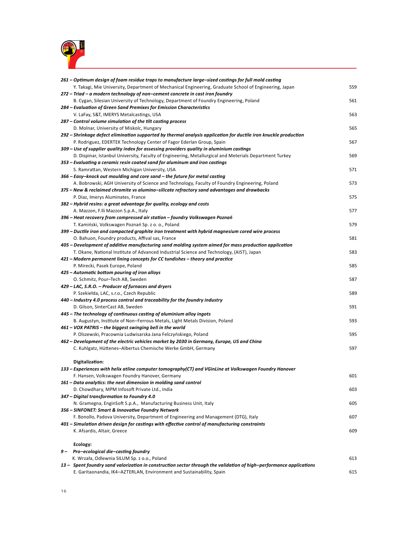

| 261 – Optimum design of foam residue traps to manufacture large-sized castings for full mold casting                                                                                         |     |
|----------------------------------------------------------------------------------------------------------------------------------------------------------------------------------------------|-----|
| Y. Takagi, Mie University, Department of Mechanical Engineering, Graduate School of Engineering, Japan                                                                                       | 559 |
| 272 – Triad – a modern technology of non–cement concrete in cast iron foundry                                                                                                                |     |
| B. Cygan, Silesian University of Technology, Department of Foundry Engineering, Poland                                                                                                       | 561 |
| 284 – Evaluation of Green Sand Premixes for Emission Characteristics                                                                                                                         |     |
| V. LaFay, S&T, IMERYS Metalcastings, USA                                                                                                                                                     | 563 |
| 287 - Control volume simulation of the tilt casting process                                                                                                                                  |     |
| D. Molnar, University of Miskolc, Hungary                                                                                                                                                    | 565 |
| 292 – Shrinkage defect elimination supported by thermal analysis application for ductile iron knuckle production                                                                             |     |
| P. Rodriguez, EDERTEK Technology Center of Fagor Ederlan Group, Spain                                                                                                                        | 567 |
| 309 – Use of supplier quality index for assessing providers quality in aluminium castings                                                                                                    |     |
| D. Dispinar, Istanbul University, Faculty of Engineering, Metallurgical and Meterials Department Turkey                                                                                      | 569 |
| 353 - Evaluating a ceramic resin coated sand for aluminum and iron castings                                                                                                                  |     |
| S. Ramrattan, Western Michigan University, USA                                                                                                                                               | 571 |
| 366 – Easy–knock out moulding and core sand – the future for metal casting                                                                                                                   |     |
| A. Bobrowski, AGH University of Science and Technology, Faculty of Foundry Engineering, Poland                                                                                               | 573 |
| 375 – New & reclaimed chromite vs alumino-silicate refractory sand advantages and drawbacks                                                                                                  |     |
| P. Diaz, Imerys Aluminates, France                                                                                                                                                           | 575 |
| 382 – Hybrid resins: a great advantage for quality, ecology and costs                                                                                                                        |     |
| A. Mazzon, F.lli Mazzon S.p.A., Italy                                                                                                                                                        | 577 |
| 396 – Heat recovery from compressed air station – foundry Volkswagen Poznań                                                                                                                  |     |
| T. Kamiński, Volkswagen Poznań Sp. z o. o., Poland                                                                                                                                           | 579 |
| 399 – Ductile iron and compacted graphite iron treatment with hybrid magnesium cored wire process                                                                                            |     |
| O. Bahuon, Foundry products, Affival sas, France                                                                                                                                             | 581 |
| 405 – Development of additive manufacturing sand molding system aimed for mass production application                                                                                        |     |
| T. Okane, National Institute of Advanced Industrial Science and Technology, (AIST), Japan                                                                                                    | 583 |
| 421 – Modern permanent lining concepts for CC tundishes – theory and practice                                                                                                                |     |
| P. Mirecki, Pasek Europe, Poland                                                                                                                                                             | 585 |
| 425 - Automatic bottom pouring of iron alloys                                                                                                                                                |     |
| O. Schmitz, Pour-Tech AB, Sweden                                                                                                                                                             | 587 |
| 429 – LAC, S.R.O. – Producer of furnaces and dryers                                                                                                                                          |     |
| P. Szekiełda, LAC, s.r.o., Czech Republic                                                                                                                                                    | 589 |
| 440 - Industry 4.0 process control and traceability for the foundry industry                                                                                                                 |     |
| D. Gilson, SinterCast AB, Sweden                                                                                                                                                             | 591 |
| 445 - The technology of continuous casting of aluminium alloy ingots                                                                                                                         |     |
| B. Augustyn, Institute of Non-Ferrous Metals, Light Metals Division, Poland                                                                                                                  | 593 |
| 461 - VOX PATRIS - the biggest swinging bell in the world                                                                                                                                    |     |
| P. Olszewski, Pracownia Ludwisarska Jana Felczyńskiego, Poland                                                                                                                               | 595 |
| 462 – Development of the electric vehicles market by 2030 in Germany, Europe, US and China                                                                                                   | 597 |
| C. Kuhlgatz, Hüttenes-Albertus Chemische Werke GmbH, Germany                                                                                                                                 |     |
| Digitalization:                                                                                                                                                                              |     |
| 133 – Experiences with helix atline computer tomography(CT) and VGinLine at Volkswagen Foundry Hanover                                                                                       |     |
| F. Hansen, Volkswagen Foundry Hanover, Germany                                                                                                                                               | 601 |
| 161 - Data analytics: the next dimension in molding sand control                                                                                                                             |     |
| D. Chowdhary, MPM Infosoft Private Ltd., India                                                                                                                                               | 603 |
| 347 - Digital transformation to Foundry 4.0                                                                                                                                                  |     |
| N. Gramegna, EnginSoft S.p.A., Manufacturing Business Unit, Italy                                                                                                                            | 605 |
| 356 - SINFONET: Smart & Innovative Foundry Network                                                                                                                                           |     |
| F. Bonollo, Padova University, Department of Engineering and Management (DTG), Italy                                                                                                         | 607 |
| 401 – Simulation driven design for castings with effective control of manufacturing constraints                                                                                              |     |
| K. Afsardis, Altair, Greece                                                                                                                                                                  | 609 |
|                                                                                                                                                                                              |     |
| Ecology:                                                                                                                                                                                     |     |
| 9- Pro-ecological die-casting foundry                                                                                                                                                        |     |
| K. Wrzała, Odlewnia SILUM Sp. z o.o., Poland                                                                                                                                                 | 613 |
| 13 - Spent foundry sand valorization in construction sector through the validation of high-performance applications<br>E. Garitaonandia, IK4-AZTERLAN, Environment and Sustainability, Spain | 615 |
|                                                                                                                                                                                              |     |